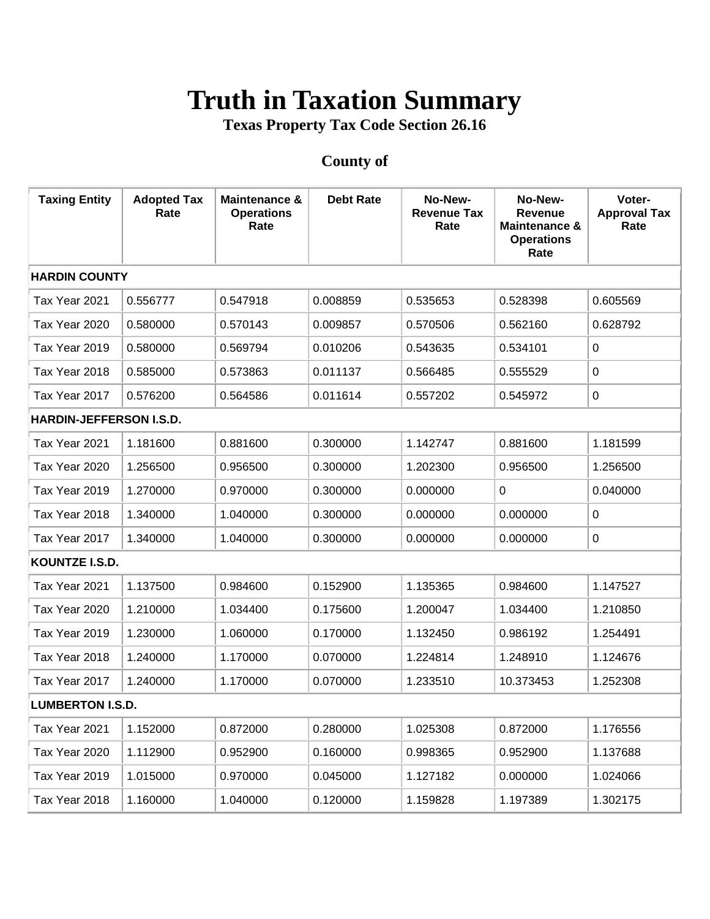## **Truth in Taxation Summary**

**Texas Property Tax Code Section 26.16**

## **County of**

| <b>Taxing Entity</b>           | <b>Adopted Tax</b><br>Rate | Maintenance &<br><b>Operations</b><br>Rate | <b>Debt Rate</b> | No-New-<br><b>Revenue Tax</b><br>Rate | No-New-<br><b>Revenue</b><br>Maintenance &<br><b>Operations</b><br>Rate | Voter-<br><b>Approval Tax</b><br>Rate |  |  |
|--------------------------------|----------------------------|--------------------------------------------|------------------|---------------------------------------|-------------------------------------------------------------------------|---------------------------------------|--|--|
|                                | <b>HARDIN COUNTY</b>       |                                            |                  |                                       |                                                                         |                                       |  |  |
| Tax Year 2021                  | 0.556777                   | 0.547918                                   | 0.008859         | 0.535653                              | 0.528398                                                                | 0.605569                              |  |  |
| Tax Year 2020                  | 0.580000                   | 0.570143                                   | 0.009857         | 0.570506                              | 0.562160                                                                | 0.628792                              |  |  |
| Tax Year 2019                  | 0.580000                   | 0.569794                                   | 0.010206         | 0.543635                              | 0.534101                                                                | 0                                     |  |  |
| Tax Year 2018                  | 0.585000                   | 0.573863                                   | 0.011137         | 0.566485                              | 0.555529                                                                | 0                                     |  |  |
| Tax Year 2017                  | 0.576200                   | 0.564586                                   | 0.011614         | 0.557202                              | 0.545972                                                                | 0                                     |  |  |
| <b>HARDIN-JEFFERSON I.S.D.</b> |                            |                                            |                  |                                       |                                                                         |                                       |  |  |
| Tax Year 2021                  | 1.181600                   | 0.881600                                   | 0.300000         | 1.142747                              | 0.881600                                                                | 1.181599                              |  |  |
| Tax Year 2020                  | 1.256500                   | 0.956500                                   | 0.300000         | 1.202300                              | 0.956500                                                                | 1.256500                              |  |  |
| Tax Year 2019                  | 1.270000                   | 0.970000                                   | 0.300000         | 0.000000                              | $\mathbf 0$                                                             | 0.040000                              |  |  |
| Tax Year 2018                  | 1.340000                   | 1.040000                                   | 0.300000         | 0.000000                              | 0.000000                                                                | 0                                     |  |  |
| Tax Year 2017                  | 1.340000                   | 1.040000                                   | 0.300000         | 0.000000                              | 0.000000                                                                | 0                                     |  |  |
| KOUNTZE I.S.D.                 |                            |                                            |                  |                                       |                                                                         |                                       |  |  |
| Tax Year 2021                  | 1.137500                   | 0.984600                                   | 0.152900         | 1.135365                              | 0.984600                                                                | 1.147527                              |  |  |
| Tax Year 2020                  | 1.210000                   | 1.034400                                   | 0.175600         | 1.200047                              | 1.034400                                                                | 1.210850                              |  |  |
| Tax Year 2019                  | 1.230000                   | 1.060000                                   | 0.170000         | 1.132450                              | 0.986192                                                                | 1.254491                              |  |  |
| Tax Year 2018                  | 1.240000                   | 1.170000                                   | 0.070000         | 1.224814                              | 1.248910                                                                | 1.124676                              |  |  |
| Tax Year 2017                  | 1.240000                   | 1.170000                                   | 0.070000         | 1.233510                              | 10.373453                                                               | 1.252308                              |  |  |
| <b>LUMBERTON I.S.D.</b>        |                            |                                            |                  |                                       |                                                                         |                                       |  |  |
| Tax Year 2021                  | 1.152000                   | 0.872000                                   | 0.280000         | 1.025308                              | 0.872000                                                                | 1.176556                              |  |  |
| Tax Year 2020                  | 1.112900                   | 0.952900                                   | 0.160000         | 0.998365                              | 0.952900                                                                | 1.137688                              |  |  |
| Tax Year 2019                  | 1.015000                   | 0.970000                                   | 0.045000         | 1.127182                              | 0.000000                                                                | 1.024066                              |  |  |
| Tax Year 2018                  | 1.160000                   | 1.040000                                   | 0.120000         | 1.159828                              | 1.197389                                                                | 1.302175                              |  |  |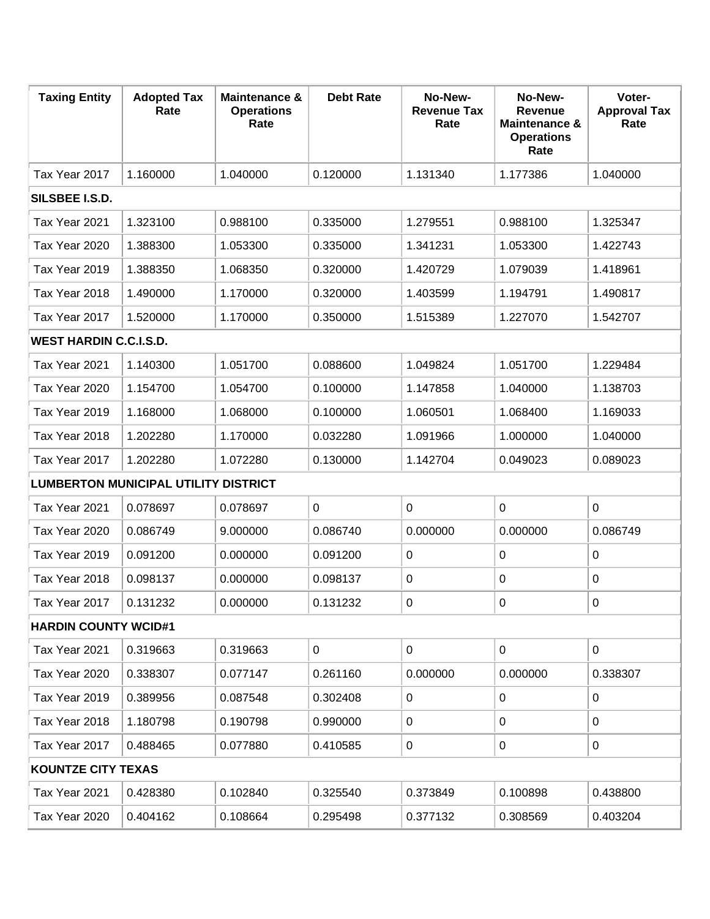| <b>Taxing Entity</b>                        | <b>Adopted Tax</b><br>Rate | <b>Maintenance &amp;</b><br><b>Operations</b><br>Rate | <b>Debt Rate</b> | No-New-<br><b>Revenue Tax</b><br>Rate | No-New-<br><b>Revenue</b><br><b>Maintenance &amp;</b><br><b>Operations</b><br>Rate | Voter-<br><b>Approval Tax</b><br>Rate |  |
|---------------------------------------------|----------------------------|-------------------------------------------------------|------------------|---------------------------------------|------------------------------------------------------------------------------------|---------------------------------------|--|
| Tax Year 2017                               | 1.160000                   | 1.040000                                              | 0.120000         | 1.131340                              | 1.177386                                                                           | 1.040000                              |  |
| SILSBEE I.S.D.                              |                            |                                                       |                  |                                       |                                                                                    |                                       |  |
| Tax Year 2021                               | 1.323100                   | 0.988100                                              | 0.335000         | 1.279551                              | 0.988100                                                                           | 1.325347                              |  |
| Tax Year 2020                               | 1.388300                   | 1.053300                                              | 0.335000         | 1.341231                              | 1.053300                                                                           | 1.422743                              |  |
| Tax Year 2019                               | 1.388350                   | 1.068350                                              | 0.320000         | 1.420729                              | 1.079039                                                                           | 1.418961                              |  |
| Tax Year 2018                               | 1.490000                   | 1.170000                                              | 0.320000         | 1.403599                              | 1.194791                                                                           | 1.490817                              |  |
| Tax Year 2017                               | 1.520000                   | 1.170000                                              | 0.350000         | 1.515389                              | 1.227070                                                                           | 1.542707                              |  |
| <b>WEST HARDIN C.C.I.S.D.</b>               |                            |                                                       |                  |                                       |                                                                                    |                                       |  |
| Tax Year 2021                               | 1.140300                   | 1.051700                                              | 0.088600         | 1.049824                              | 1.051700                                                                           | 1.229484                              |  |
| Tax Year 2020                               | 1.154700                   | 1.054700                                              | 0.100000         | 1.147858                              | 1.040000                                                                           | 1.138703                              |  |
| Tax Year 2019                               | 1.168000                   | 1.068000                                              | 0.100000         | 1.060501                              | 1.068400                                                                           | 1.169033                              |  |
| Tax Year 2018                               | 1.202280                   | 1.170000                                              | 0.032280         | 1.091966                              | 1.000000                                                                           | 1.040000                              |  |
| Tax Year 2017                               | 1.202280                   | 1.072280                                              | 0.130000         | 1.142704                              | 0.049023                                                                           | 0.089023                              |  |
| <b>LUMBERTON MUNICIPAL UTILITY DISTRICT</b> |                            |                                                       |                  |                                       |                                                                                    |                                       |  |
| Tax Year 2021                               | 0.078697                   | 0.078697                                              | $\mathbf 0$      | 0                                     | $\mathbf 0$                                                                        | 0                                     |  |
| Tax Year 2020                               | 0.086749                   | 9.000000                                              | 0.086740         | 0.000000                              | 0.000000                                                                           | 0.086749                              |  |
| Tax Year 2019                               | 0.091200                   | 0.000000                                              | 0.091200         | $\pmb{0}$                             | $\pmb{0}$                                                                          | 0                                     |  |
| Tax Year 2018                               | 0.098137                   | 0.000000                                              | 0.098137         | 0                                     | 0                                                                                  | 0                                     |  |
| Tax Year 2017                               | 0.131232                   | 0.000000                                              | 0.131232         | 0                                     | 0                                                                                  | 0                                     |  |
| <b>HARDIN COUNTY WCID#1</b>                 |                            |                                                       |                  |                                       |                                                                                    |                                       |  |
| Tax Year 2021                               | 0.319663                   | 0.319663                                              | $\mathbf 0$      | 0                                     | $\mathbf 0$                                                                        | 0                                     |  |
| Tax Year 2020                               | 0.338307                   | 0.077147                                              | 0.261160         | 0.000000                              | 0.000000                                                                           | 0.338307                              |  |
| Tax Year 2019                               | 0.389956                   | 0.087548                                              | 0.302408         | 0                                     | 0                                                                                  | 0                                     |  |
| Tax Year 2018                               | 1.180798                   | 0.190798                                              | 0.990000         | 0                                     | $\pmb{0}$                                                                          | 0                                     |  |
| Tax Year 2017                               | 0.488465                   | 0.077880                                              | 0.410585         | 0                                     | 0                                                                                  | 0                                     |  |
| <b>KOUNTZE CITY TEXAS</b>                   |                            |                                                       |                  |                                       |                                                                                    |                                       |  |
| Tax Year 2021                               | 0.428380                   | 0.102840                                              | 0.325540         | 0.373849                              | 0.100898                                                                           | 0.438800                              |  |
| Tax Year 2020                               | 0.404162                   | 0.108664                                              | 0.295498         | 0.377132                              | 0.308569                                                                           | 0.403204                              |  |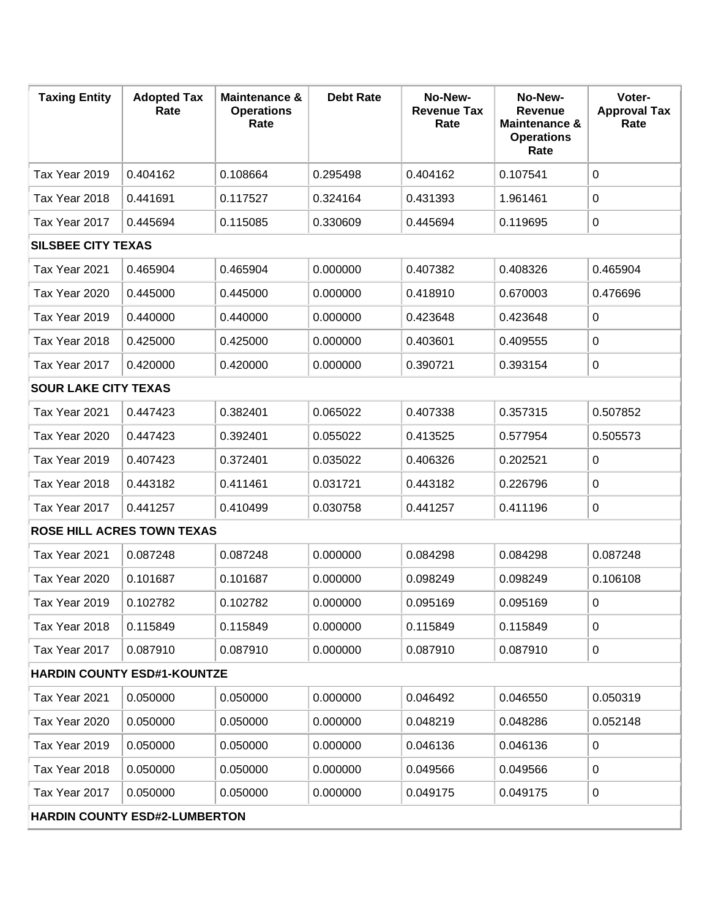| <b>Taxing Entity</b>                 | <b>Adopted Tax</b><br>Rate        | <b>Maintenance &amp;</b><br><b>Operations</b><br>Rate | <b>Debt Rate</b> | No-New-<br><b>Revenue Tax</b><br>Rate | No-New-<br><b>Revenue</b><br>Maintenance &<br><b>Operations</b><br>Rate | Voter-<br><b>Approval Tax</b><br>Rate |  |
|--------------------------------------|-----------------------------------|-------------------------------------------------------|------------------|---------------------------------------|-------------------------------------------------------------------------|---------------------------------------|--|
| Tax Year 2019                        | 0.404162                          | 0.108664                                              | 0.295498         | 0.404162                              | 0.107541                                                                | 0                                     |  |
| Tax Year 2018                        | 0.441691                          | 0.117527                                              | 0.324164         | 0.431393                              | 1.961461                                                                | 0                                     |  |
| Tax Year 2017                        | 0.445694                          | 0.115085                                              | 0.330609         | 0.445694                              | 0.119695                                                                | $\mathbf 0$                           |  |
| <b>SILSBEE CITY TEXAS</b>            |                                   |                                                       |                  |                                       |                                                                         |                                       |  |
| Tax Year 2021                        | 0.465904                          | 0.465904                                              | 0.000000         | 0.407382                              | 0.408326                                                                | 0.465904                              |  |
| Tax Year 2020                        | 0.445000                          | 0.445000                                              | 0.000000         | 0.418910                              | 0.670003                                                                | 0.476696                              |  |
| Tax Year 2019                        | 0.440000                          | 0.440000                                              | 0.000000         | 0.423648                              | 0.423648                                                                | $\mathbf 0$                           |  |
| Tax Year 2018                        | 0.425000                          | 0.425000                                              | 0.000000         | 0.403601                              | 0.409555                                                                | 0                                     |  |
| Tax Year 2017                        | 0.420000                          | 0.420000                                              | 0.000000         | 0.390721                              | 0.393154                                                                | 0                                     |  |
| <b>SOUR LAKE CITY TEXAS</b>          |                                   |                                                       |                  |                                       |                                                                         |                                       |  |
| Tax Year 2021                        | 0.447423                          | 0.382401                                              | 0.065022         | 0.407338                              | 0.357315                                                                | 0.507852                              |  |
| Tax Year 2020                        | 0.447423                          | 0.392401                                              | 0.055022         | 0.413525                              | 0.577954                                                                | 0.505573                              |  |
| Tax Year 2019                        | 0.407423                          | 0.372401                                              | 0.035022         | 0.406326                              | 0.202521                                                                | 0                                     |  |
| Tax Year 2018                        | 0.443182                          | 0.411461                                              | 0.031721         | 0.443182                              | 0.226796                                                                | $\mathbf 0$                           |  |
| Tax Year 2017                        | 0.441257                          | 0.410499                                              | 0.030758         | 0.441257                              | 0.411196                                                                | 0                                     |  |
|                                      | <b>ROSE HILL ACRES TOWN TEXAS</b> |                                                       |                  |                                       |                                                                         |                                       |  |
| Tax Year 2021                        | 0.087248                          | 0.087248                                              | 0.000000         | 0.084298                              | 0.084298                                                                | 0.087248                              |  |
| Tax Year 2020                        | 0.101687                          | 0.101687                                              | 0.000000         | 0.098249                              | 0.098249                                                                | 0.106108                              |  |
| Tax Year 2019                        | 0.102782                          | 0.102782                                              | 0.000000         | 0.095169                              | 0.095169                                                                | $\Omega$                              |  |
| Tax Year 2018                        | 0.115849                          | 0.115849                                              | 0.000000         | 0.115849                              | 0.115849                                                                | 0                                     |  |
| Tax Year 2017                        | 0.087910                          | 0.087910                                              | 0.000000         | 0.087910                              | 0.087910                                                                | $\mathbf 0$                           |  |
| <b>HARDIN COUNTY ESD#1-KOUNTZE</b>   |                                   |                                                       |                  |                                       |                                                                         |                                       |  |
| Tax Year 2021                        | 0.050000                          | 0.050000                                              | 0.000000         | 0.046492                              | 0.046550                                                                | 0.050319                              |  |
| Tax Year 2020                        | 0.050000                          | 0.050000                                              | 0.000000         | 0.048219                              | 0.048286                                                                | 0.052148                              |  |
| Tax Year 2019                        | 0.050000                          | 0.050000                                              | 0.000000         | 0.046136                              | 0.046136                                                                | 0                                     |  |
| Tax Year 2018                        | 0.050000                          | 0.050000                                              | 0.000000         | 0.049566                              | 0.049566                                                                | 0                                     |  |
| Tax Year 2017                        | 0.050000                          | 0.050000                                              | 0.000000         | 0.049175                              | 0.049175                                                                | 0                                     |  |
| <b>HARDIN COUNTY ESD#2-LUMBERTON</b> |                                   |                                                       |                  |                                       |                                                                         |                                       |  |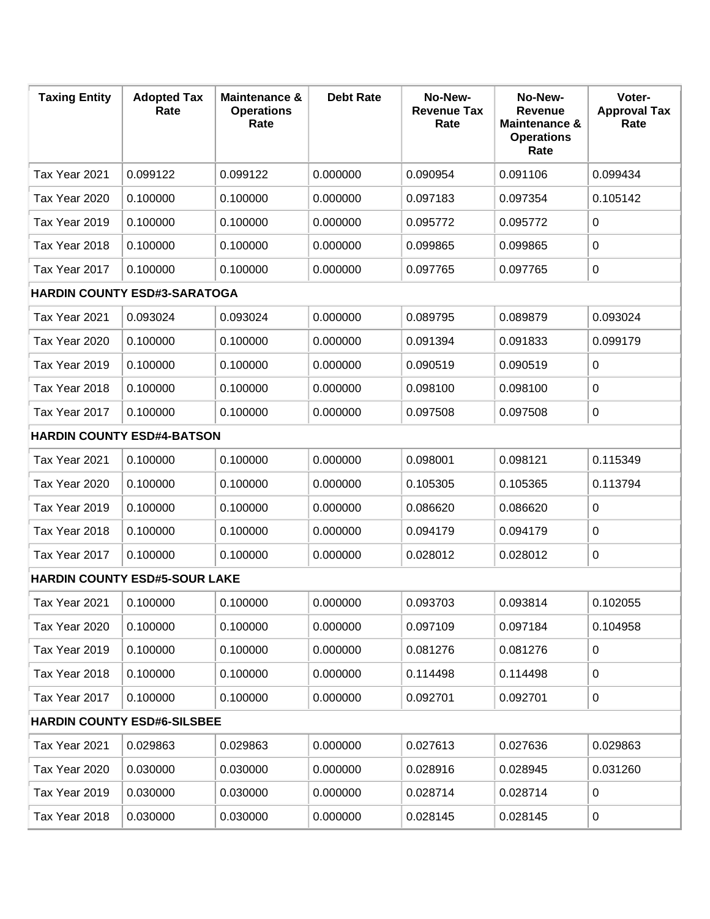| <b>Taxing Entity</b>                 | <b>Adopted Tax</b><br>Rate          | <b>Maintenance &amp;</b><br><b>Operations</b><br>Rate | <b>Debt Rate</b> | No-New-<br><b>Revenue Tax</b><br>Rate | No-New-<br><b>Revenue</b><br><b>Maintenance &amp;</b><br><b>Operations</b><br>Rate | Voter-<br><b>Approval Tax</b><br>Rate |
|--------------------------------------|-------------------------------------|-------------------------------------------------------|------------------|---------------------------------------|------------------------------------------------------------------------------------|---------------------------------------|
| Tax Year 2021                        | 0.099122                            | 0.099122                                              | 0.000000         | 0.090954                              | 0.091106                                                                           | 0.099434                              |
| Tax Year 2020                        | 0.100000                            | 0.100000                                              | 0.000000         | 0.097183                              | 0.097354                                                                           | 0.105142                              |
| Tax Year 2019                        | 0.100000                            | 0.100000                                              | 0.000000         | 0.095772                              | 0.095772                                                                           | 0                                     |
| Tax Year 2018                        | 0.100000                            | 0.100000                                              | 0.000000         | 0.099865                              | 0.099865                                                                           | 0                                     |
| Tax Year 2017                        | 0.100000                            | 0.100000                                              | 0.000000         | 0.097765                              | 0.097765                                                                           | 0                                     |
|                                      | <b>HARDIN COUNTY ESD#3-SARATOGA</b> |                                                       |                  |                                       |                                                                                    |                                       |
| Tax Year 2021                        | 0.093024                            | 0.093024                                              | 0.000000         | 0.089795                              | 0.089879                                                                           | 0.093024                              |
| Tax Year 2020                        | 0.100000                            | 0.100000                                              | 0.000000         | 0.091394                              | 0.091833                                                                           | 0.099179                              |
| Tax Year 2019                        | 0.100000                            | 0.100000                                              | 0.000000         | 0.090519                              | 0.090519                                                                           | 0                                     |
| Tax Year 2018                        | 0.100000                            | 0.100000                                              | 0.000000         | 0.098100                              | 0.098100                                                                           | 0                                     |
| Tax Year 2017                        | 0.100000                            | 0.100000                                              | 0.000000         | 0.097508                              | 0.097508                                                                           | 0                                     |
|                                      | <b>HARDIN COUNTY ESD#4-BATSON</b>   |                                                       |                  |                                       |                                                                                    |                                       |
| Tax Year 2021                        | 0.100000                            | 0.100000                                              | 0.000000         | 0.098001                              | 0.098121                                                                           | 0.115349                              |
| Tax Year 2020                        | 0.100000                            | 0.100000                                              | 0.000000         | 0.105305                              | 0.105365                                                                           | 0.113794                              |
| Tax Year 2019                        | 0.100000                            | 0.100000                                              | 0.000000         | 0.086620                              | 0.086620                                                                           | 0                                     |
| Tax Year 2018                        | 0.100000                            | 0.100000                                              | 0.000000         | 0.094179                              | 0.094179                                                                           | 0                                     |
| Tax Year 2017                        | 0.100000                            | 0.100000                                              | 0.000000         | 0.028012                              | 0.028012                                                                           | 0                                     |
| <b>HARDIN COUNTY ESD#5-SOUR LAKE</b> |                                     |                                                       |                  |                                       |                                                                                    |                                       |
| Tax Year 2021                        | 0.100000                            | 0.100000                                              | 0.000000         | 0.093703                              | 0.093814                                                                           | 0.102055                              |
| Tax Year 2020                        | 0.100000                            | 0.100000                                              | 0.000000         | 0.097109                              | 0.097184                                                                           | 0.104958                              |
| Tax Year 2019                        | 0.100000                            | 0.100000                                              | 0.000000         | 0.081276                              | 0.081276                                                                           | 0                                     |
| Tax Year 2018                        | 0.100000                            | 0.100000                                              | 0.000000         | 0.114498                              | 0.114498                                                                           | 0                                     |
| Tax Year 2017                        | 0.100000                            | 0.100000                                              | 0.000000         | 0.092701                              | 0.092701                                                                           | 0                                     |
| <b>HARDIN COUNTY ESD#6-SILSBEE</b>   |                                     |                                                       |                  |                                       |                                                                                    |                                       |
| Tax Year 2021                        | 0.029863                            | 0.029863                                              | 0.000000         | 0.027613                              | 0.027636                                                                           | 0.029863                              |
| Tax Year 2020                        | 0.030000                            | 0.030000                                              | 0.000000         | 0.028916                              | 0.028945                                                                           | 0.031260                              |
| Tax Year 2019                        | 0.030000                            | 0.030000                                              | 0.000000         | 0.028714                              | 0.028714                                                                           | 0                                     |
| Tax Year 2018                        | 0.030000                            | 0.030000                                              | 0.000000         | 0.028145                              | 0.028145                                                                           | 0                                     |